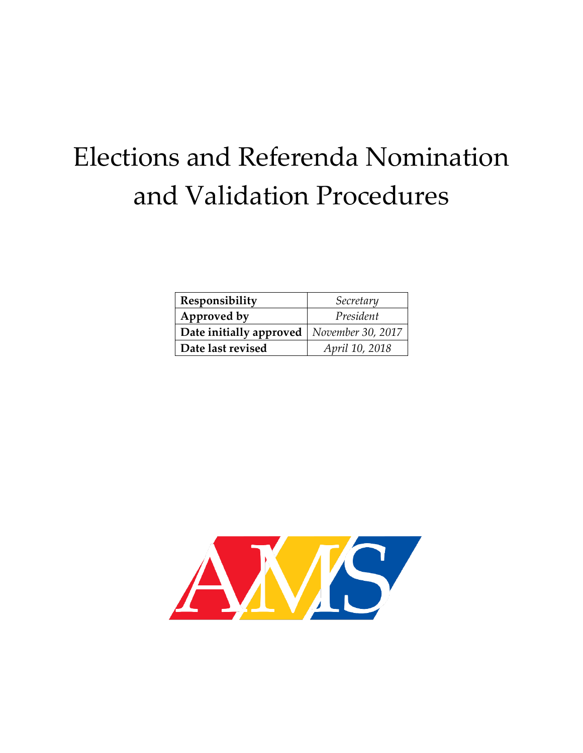# Elections and Referenda Nomination and Validation Procedures

| Responsibility                              | Secretary      |
|---------------------------------------------|----------------|
| Approved by                                 | President      |
| Date initially approved   November 30, 2017 |                |
| Date last revised                           | April 10, 2018 |

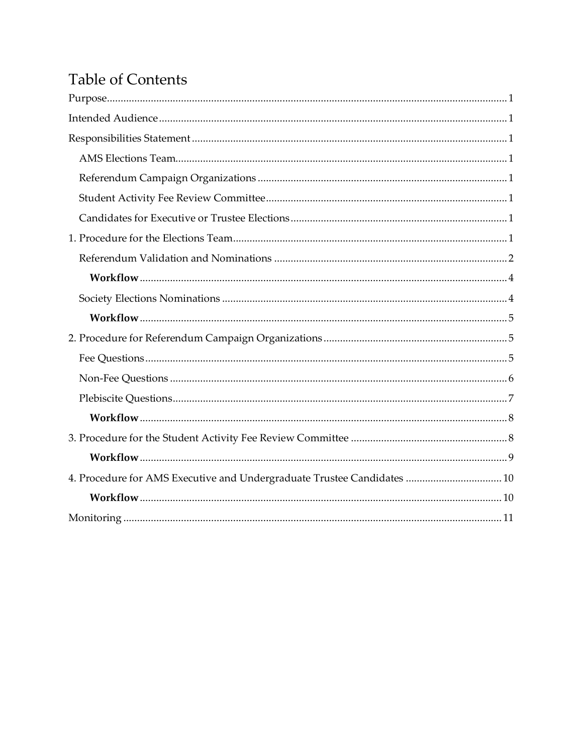# **Table of Contents**

| 4. Procedure for AMS Executive and Undergraduate Trustee Candidates  10 |
|-------------------------------------------------------------------------|
|                                                                         |
|                                                                         |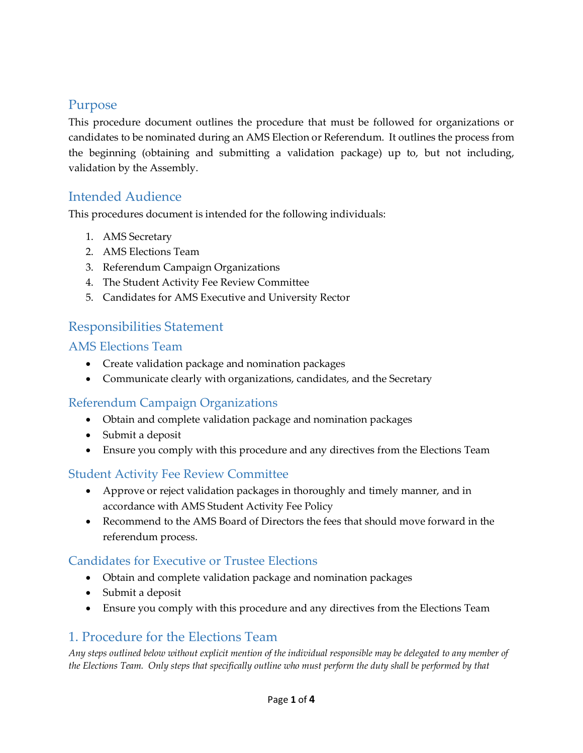#### <span id="page-2-0"></span>Purpose

This procedure document outlines the procedure that must be followed for organizations or candidates to be nominated during an AMS Election or Referendum. It outlines the process from the beginning (obtaining and submitting a validation package) up to, but not including, validation by the Assembly.

#### <span id="page-2-1"></span>Intended Audience

This procedures document is intended for the following individuals:

- 1. AMS Secretary
- 2. AMS Elections Team
- 3. Referendum Campaign Organizations
- 4. The Student Activity Fee Review Committee
- 5. Candidates for AMS Executive and University Rector

#### <span id="page-2-2"></span>Responsibilities Statement

#### <span id="page-2-3"></span>AMS Elections Team

- Create validation package and nomination packages
- Communicate clearly with organizations, candidates, and the Secretary

#### <span id="page-2-4"></span>Referendum Campaign Organizations

- Obtain and complete validation package and nomination packages
- Submit a deposit
- Ensure you comply with this procedure and any directives from the Elections Team

#### <span id="page-2-5"></span>Student Activity Fee Review Committee

- Approve or reject validation packages in thoroughly and timely manner, and in accordance with AMS Student Activity Fee Policy
- Recommend to the AMS Board of Directors the fees that should move forward in the referendum process.

#### <span id="page-2-6"></span>Candidates for Executive or Trustee Elections

- Obtain and complete validation package and nomination packages
- Submit a deposit
- Ensure you comply with this procedure and any directives from the Elections Team

#### <span id="page-2-7"></span>1. Procedure for the Elections Team

*Any steps outlined below without explicit mention of the individual responsible may be delegated to any member of the Elections Team.* Only steps that specifically outline who must perform the duty shall be performed by that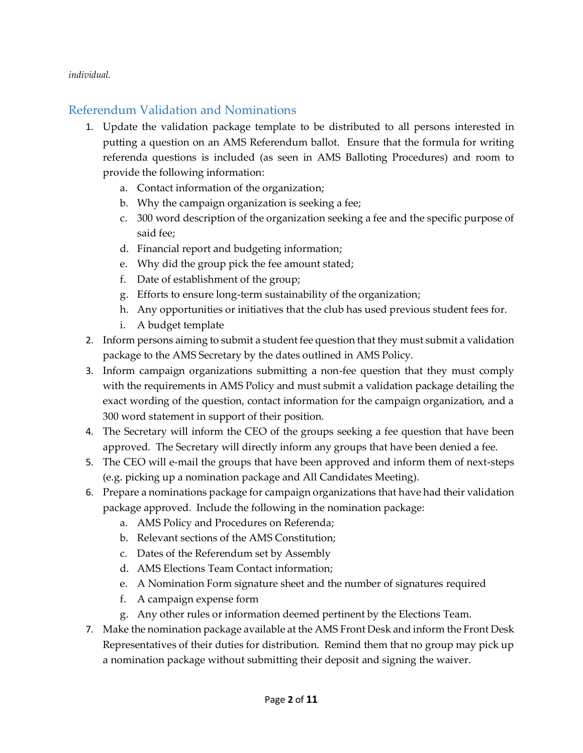#### *individual.*

#### <span id="page-3-0"></span>Referendum Validation and Nominations

- 1. Update the validation package template to be distributed to all persons interested in putting a question on an AMS Referendum ballot. Ensure that the formula for writing referenda questions is included (as seen in AMS Balloting Procedures) and room to provide the following information:
	- a. Contact information of the organization;
	- b. Why the campaign organization is seeking a fee;
	- c. 300 word description of the organization seeking a fee and the specific purpose of said fee;
	- d. Financial report and budgeting information;
	- e. Why did the group pick the fee amount stated;
	- f. Date of establishment of the group;
	- g. Efforts to ensure long-term sustainability of the organization;
	- h. Any opportunities or initiatives that the club has used previous student fees for.
	- i. A budget template
- 2. Inform persons aiming to submit a student fee question that they must submit a validation package to the AMS Secretary by the dates outlined in AMS Policy.
- 3. Inform campaign organizations submitting a non-fee question that they must comply with the requirements in AMS Policy and must submit a validation package detailing the exact wording of the question, contact information for the campaign organization, and a 300 word statement in support of their position.
- 4. The Secretary will inform the CEO of the groups seeking a fee question that have been approved. The Secretary will directly inform any groups that have been denied a fee.
- 5. The CEO will e-mail the groups that have been approved and inform them of next-steps (e.g. picking up a nomination package and All Candidates Meeting).
- 6. Prepare a nominations package for campaign organizations that have had their validation package approved. Include the following in the nomination package:
	- a. AMS Policy and Procedures on Referenda;
	- b. Relevant sections of the AMS Constitution;
	- c. Dates of the Referendum set by Assembly
	- d. AMS Elections Team Contact information;
	- e. A Nomination Form signature sheet and the number of signatures required
	- f. A campaign expense form
	- g. Any other rules or information deemed pertinent by the Elections Team.
- 7. Make the nomination package available at the AMS Front Desk and inform the Front Desk Representatives of their duties for distribution. Remind them that no group may pick up a nomination package without submitting their deposit and signing the waiver.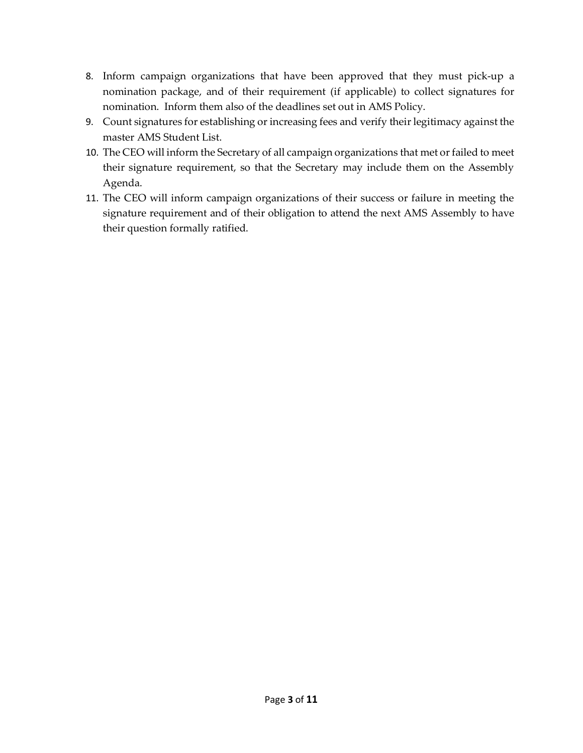- 8. Inform campaign organizations that have been approved that they must pick-up a nomination package, and of their requirement (if applicable) to collect signatures for nomination. Inform them also of the deadlines set out in AMS Policy.
- 9. Count signatures for establishing or increasing fees and verify their legitimacy against the master AMS Student List.
- 10. The CEO will inform the Secretary of all campaign organizations that met or failed to meet their signature requirement, so that the Secretary may include them on the Assembly Agenda.
- 11. The CEO will inform campaign organizations of their success or failure in meeting the signature requirement and of their obligation to attend the next AMS Assembly to have their question formally ratified.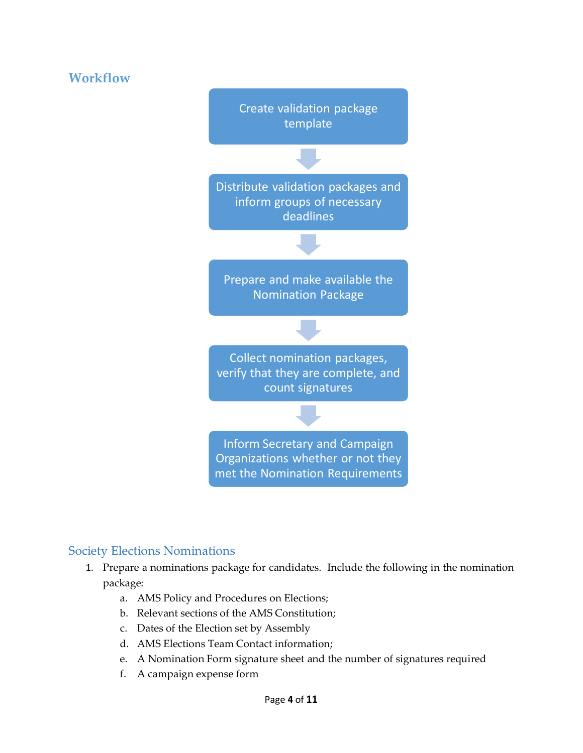<span id="page-5-0"></span>Create validation package template

Distribute validation packages and inform groups of necessary deadlines

Prepare and make available the Nomination Package

Collect nomination packages, verify that they are complete, and count signatures

Inform Secretary and Campaign Organizations whether or not they met the Nomination Requirements

#### <span id="page-5-1"></span>Society Elections Nominations

- 1. Prepare a nominations package for candidates. Include the following in the nomination package:
	- a. AMS Policy and Procedures on Elections;
	- b. Relevant sections of the AMS Constitution;
	- c. Dates of the Election set by Assembly
	- d. AMS Elections Team Contact information;
	- e. A Nomination Form signature sheet and the number of signatures required
	- f. A campaign expense form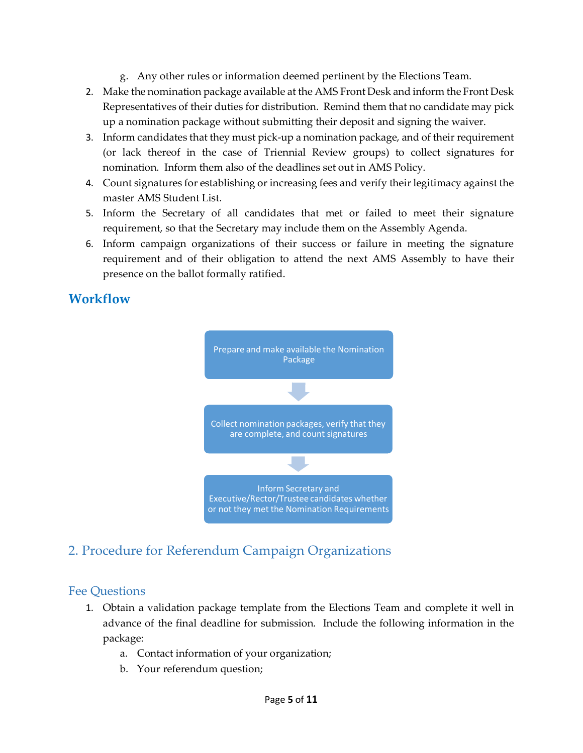- g. Any other rules or information deemed pertinent by the Elections Team.
- 2. Make the nomination package available at the AMS Front Desk and inform the Front Desk Representatives of their duties for distribution. Remind them that no candidate may pick up a nomination package without submitting their deposit and signing the waiver.
- 3. Inform candidates that they must pick-up a nomination package, and of their requirement (or lack thereof in the case of Triennial Review groups) to collect signatures for nomination. Inform them also of the deadlines set out in AMS Policy.
- 4. Count signatures for establishing or increasing fees and verify their legitimacy against the master AMS Student List.
- 5. Inform the Secretary of all candidates that met or failed to meet their signature requirement, so that the Secretary may include them on the Assembly Agenda.
- <span id="page-6-0"></span>6. Inform campaign organizations of their success or failure in meeting the signature requirement and of their obligation to attend the next AMS Assembly to have their presence on the ballot formally ratified.



## <span id="page-6-1"></span>2. Procedure for Referendum Campaign Organizations

#### <span id="page-6-2"></span>Fee Questions

- 1. Obtain a validation package template from the Elections Team and complete it well in advance of the final deadline for submission. Include the following information in the package:
	- a. Contact information of your organization;
	- b. Your referendum question;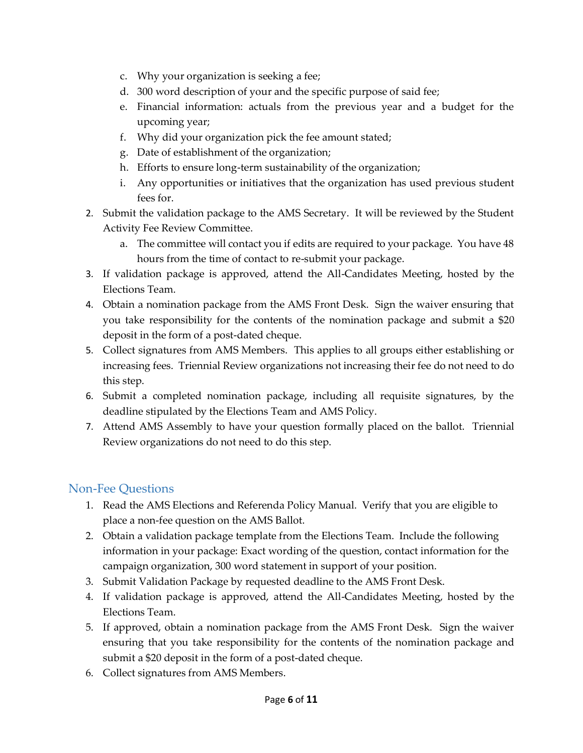- c. Why your organization is seeking a fee;
- d. 300 word description of your and the specific purpose of said fee;
- e. Financial information: actuals from the previous year and a budget for the upcoming year;
- f. Why did your organization pick the fee amount stated;
- g. Date of establishment of the organization;
- h. Efforts to ensure long-term sustainability of the organization;
- i. Any opportunities or initiatives that the organization has used previous student fees for.
- 2. Submit the validation package to the AMS Secretary. It will be reviewed by the Student Activity Fee Review Committee.
	- a. The committee will contact you if edits are required to your package. You have 48 hours from the time of contact to re-submit your package.
- 3. If validation package is approved, attend the All-Candidates Meeting, hosted by the Elections Team.
- 4. Obtain a nomination package from the AMS Front Desk. Sign the waiver ensuring that you take responsibility for the contents of the nomination package and submit a \$20 deposit in the form of a post-dated cheque.
- 5. Collect signatures from AMS Members. This applies to all groups either establishing or increasing fees. Triennial Review organizations not increasing their fee do not need to do this step.
- 6. Submit a completed nomination package, including all requisite signatures, by the deadline stipulated by the Elections Team and AMS Policy.
- 7. Attend AMS Assembly to have your question formally placed on the ballot. Triennial Review organizations do not need to do this step.

#### <span id="page-7-0"></span>Non-Fee Questions

- 1. Read the AMS Elections and Referenda Policy Manual. Verify that you are eligible to place a non-fee question on the AMS Ballot.
- 2. Obtain a validation package template from the Elections Team. Include the following information in your package: Exact wording of the question, contact information for the campaign organization, 300 word statement in support of your position.
- 3. Submit Validation Package by requested deadline to the AMS Front Desk.
- 4. If validation package is approved, attend the All-Candidates Meeting, hosted by the Elections Team.
- 5. If approved, obtain a nomination package from the AMS Front Desk. Sign the waiver ensuring that you take responsibility for the contents of the nomination package and submit a \$20 deposit in the form of a post-dated cheque.
- 6. Collect signatures from AMS Members.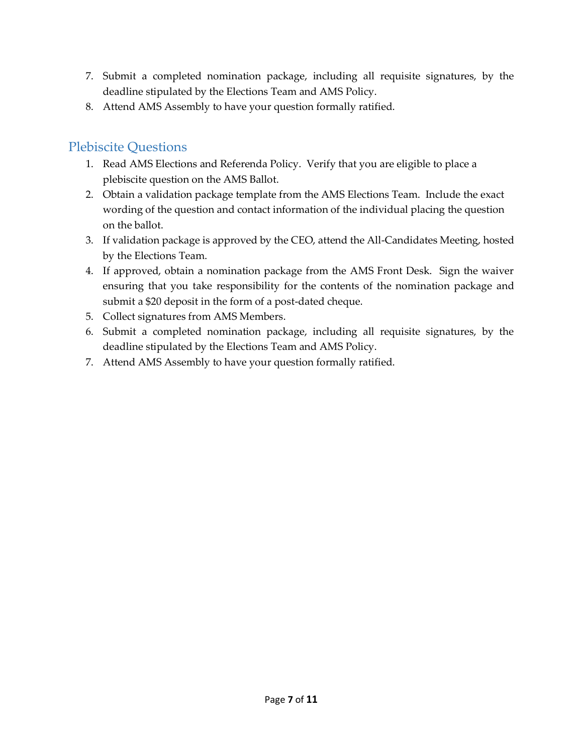- 7. Submit a completed nomination package, including all requisite signatures, by the deadline stipulated by the Elections Team and AMS Policy.
- 8. Attend AMS Assembly to have your question formally ratified.

#### <span id="page-8-0"></span>Plebiscite Questions

- 1. Read AMS Elections and Referenda Policy. Verify that you are eligible to place a plebiscite question on the AMS Ballot.
- 2. Obtain a validation package template from the AMS Elections Team. Include the exact wording of the question and contact information of the individual placing the question on the ballot.
- 3. If validation package is approved by the CEO, attend the All-Candidates Meeting, hosted by the Elections Team.
- 4. If approved, obtain a nomination package from the AMS Front Desk. Sign the waiver ensuring that you take responsibility for the contents of the nomination package and submit a \$20 deposit in the form of a post-dated cheque.
- 5. Collect signatures from AMS Members.
- 6. Submit a completed nomination package, including all requisite signatures, by the deadline stipulated by the Elections Team and AMS Policy.
- 7. Attend AMS Assembly to have your question formally ratified.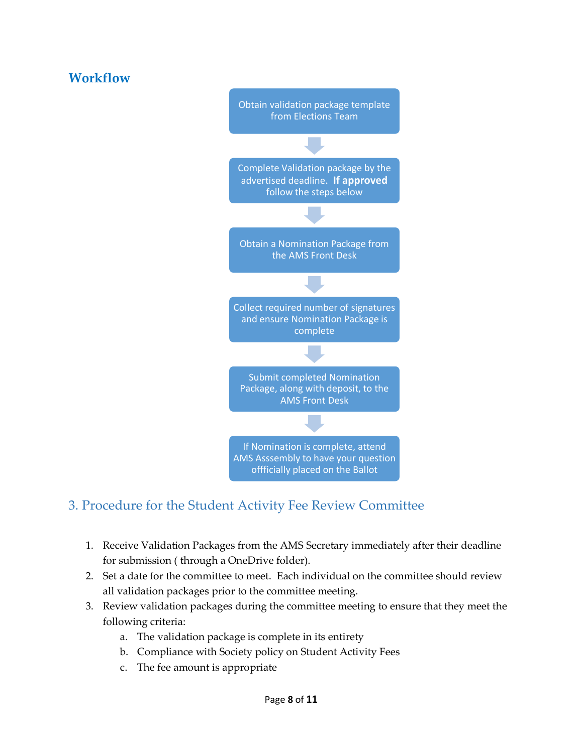<span id="page-9-0"></span>

## <span id="page-9-1"></span>3. Procedure for the Student Activity Fee Review Committee

- 1. Receive Validation Packages from the AMS Secretary immediately after their deadline for submission ( through a OneDrive folder).
- 2. Set a date for the committee to meet. Each individual on the committee should review all validation packages prior to the committee meeting.
- 3. Review validation packages during the committee meeting to ensure that they meet the following criteria:
	- a. The validation package is complete in its entirety
	- b. Compliance with Society policy on Student Activity Fees
	- c. The fee amount is appropriate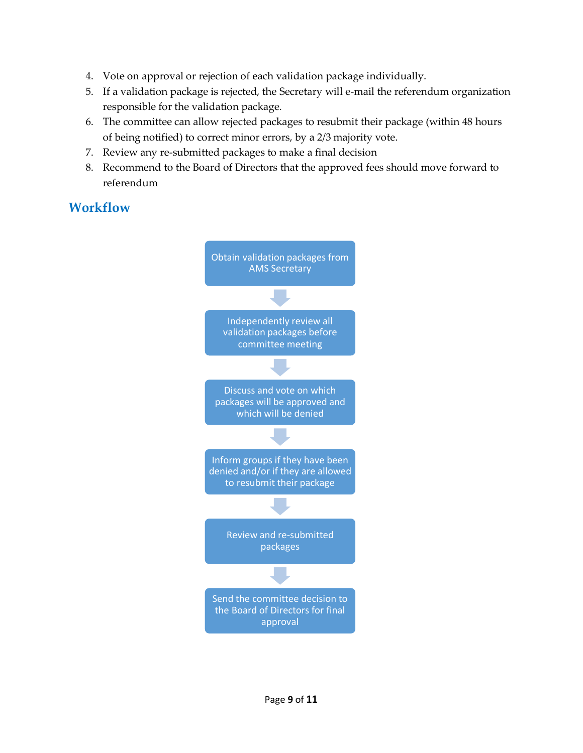- 4. Vote on approval or rejection of each validation package individually.
- 5. If a validation package is rejected, the Secretary will e-mail the referendum organization responsible for the validation package.
- 6. The committee can allow rejected packages to resubmit their package (within 48 hours of being notified) to correct minor errors, by a 2/3 majority vote.
- 7. Review any re-submitted packages to make a final decision
- <span id="page-10-0"></span>8. Recommend to the Board of Directors that the approved fees should move forward to referendum

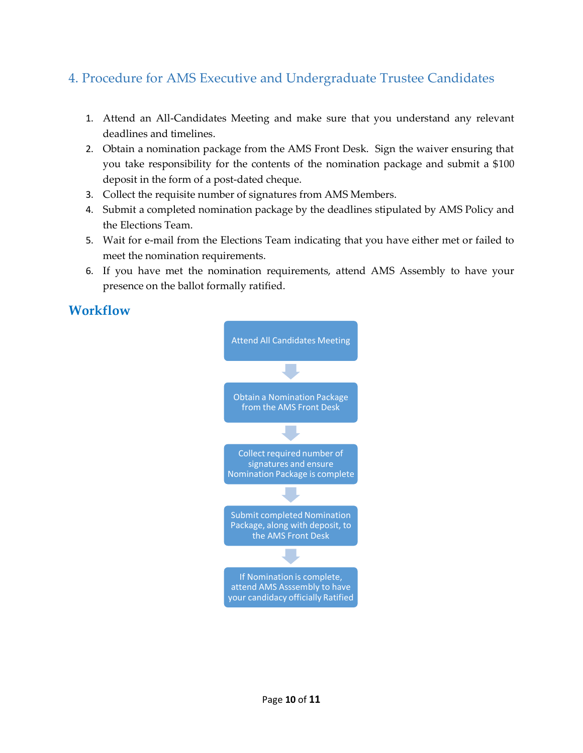## <span id="page-11-0"></span>4. Procedure for AMS Executive and Undergraduate Trustee Candidates

- 1. Attend an All-Candidates Meeting and make sure that you understand any relevant deadlines and timelines.
- 2. Obtain a nomination package from the AMS Front Desk. Sign the waiver ensuring that you take responsibility for the contents of the nomination package and submit a \$100 deposit in the form of a post-dated cheque.
- 3. Collect the requisite number of signatures from AMS Members.
- 4. Submit a completed nomination package by the deadlines stipulated by AMS Policy and the Elections Team.
- 5. Wait for e-mail from the Elections Team indicating that you have either met or failed to meet the nomination requirements.
- 6. If you have met the nomination requirements, attend AMS Assembly to have your presence on the ballot formally ratified.

#### <span id="page-11-1"></span>**Workflow**